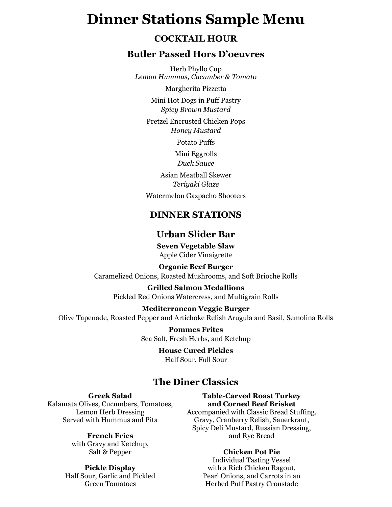# **Dinner Stations Sample Menu**

## **COCKTAIL HOUR**

## **Butler Passed Hors D'oeuvres**

Herb Phyllo Cup *Lemon Hummus, Cucumber & Tomato*

Margherita Pizzetta

Mini Hot Dogs in Puff Pastry *Spicy Brown Mustard*

Pretzel Encrusted Chicken Pops *Honey Mustard*

Potato Puffs

Mini Eggrolls *Duck Sauce*

Asian Meatball Skewer *Teriyaki Glaze* Watermelon Gazpacho Shooters

## **DINNER STATIONS**

## **Urban Slider Bar**

**Seven Vegetable Slaw** Apple Cider Vinaigrette

#### **Organic Beef Burger**

Caramelized Onions, Roasted Mushrooms, and Soft Brioche Rolls

**Grilled Salmon Medallions** Pickled Red Onions Watercress, and Multigrain Rolls

#### **Mediterranean Veggie Burger**

Olive Tapenade, Roasted Pepper and Artichoke Relish Arugula and Basil, Semolina Rolls

**Pommes Frites** Sea Salt, Fresh Herbs, and Ketchup

## **House Cured Pickles**

Half Sour, Full Sour

## **The Diner Classics**

#### **Greek Salad**

Kalamata Olives, Cucumbers, Tomatoes, Lemon Herb Dressing Served with Hummus and Pita

#### **French Fries**

with Gravy and Ketchup, Salt & Pepper

#### **Pickle Display**

Half Sour, Garlic and Pickled Green Tomatoes

#### **Table-Carved Roast Turkey and Corned Beef Brisket**

Accompanied with Classic Bread Stuffing, Gravy, Cranberry Relish, Sauerkraut, Spicy Deli Mustard, Russian Dressing, and Rye Bread

#### **Chicken Pot Pie**

Individual Tasting Vessel with a Rich Chicken Ragout, Pearl Onions, and Carrots in an Herbed Puff Pastry Croustade